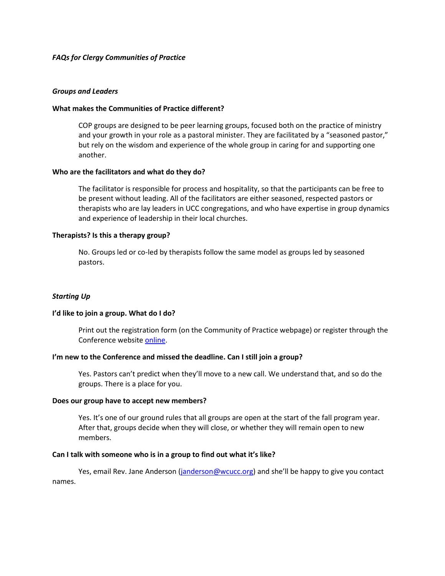# *FAQs for Clergy Communities of Practice*

## *Groups and Leaders*

## **What makes the Communities of Practice different?**

COP groups are designed to be peer learning groups, focused both on the practice of ministry and your growth in your role as a pastoral minister. They are facilitated by a "seasoned pastor," but rely on the wisdom and experience of the whole group in caring for and supporting one another.

### **Who are the facilitators and what do they do?**

The facilitator is responsible for process and hospitality, so that the participants can be free to be present without leading. All of the facilitators are either seasoned, respected pastors or therapists who are lay leaders in UCC congregations, and who have expertise in group dynamics and experience of leadership in their local churches.

### **Therapists? Is this a therapy group?**

No. Groups led or co-led by therapists follow the same model as groups led by seasoned pastors.

## *Starting Up*

#### **I'd like to join a group. What do I do?**

Print out the registration form (on the Community of Practice webpage) or register through the Conference websit[e online.](http://www.wcucc.org/index.asp?menuid=507&firstlevelmenuid=179&siteid=1)

#### **I'm new to the Conference and missed the deadline. Can I still join a group?**

Yes. Pastors can't predict when they'll move to a new call. We understand that, and so do the groups. There is a place for you.

#### **Does our group have to accept new members?**

Yes. It's one of our ground rules that all groups are open at the start of the fall program year. After that, groups decide when they will close, or whether they will remain open to new members.

#### **Can I talk with someone who is in a group to find out what it's like?**

Yes, email Rev. Jane Anderson [\(janderson@wcucc.org](mailto:janderson@wcucc.org)) and she'll be happy to give you contact names.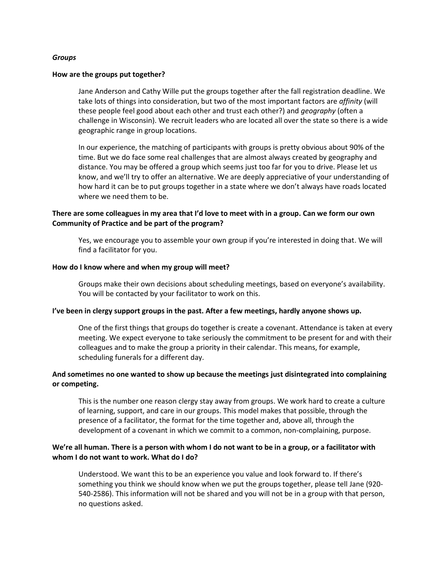## *Groups*

#### **How are the groups put together?**

Jane Anderson and Cathy Wille put the groups together after the fall registration deadline. We take lots of things into consideration, but two of the most important factors are *affinity* (will these people feel good about each other and trust each other?) and *geography* (often a challenge in Wisconsin). We recruit leaders who are located all over the state so there is a wide geographic range in group locations.

In our experience, the matching of participants with groups is pretty obvious about 90% of the time. But we do face some real challenges that are almost always created by geography and distance. You may be offered a group which seems just too far for you to drive. Please let us know, and we'll try to offer an alternative. We are deeply appreciative of your understanding of how hard it can be to put groups together in a state where we don't always have roads located where we need them to be.

# **There are some colleagues in my area that I'd love to meet with in a group. Can we form our own Community of Practice and be part of the program?**

Yes, we encourage you to assemble your own group if you're interested in doing that. We will find a facilitator for you.

### **How do I know where and when my group will meet?**

Groups make their own decisions about scheduling meetings, based on everyone's availability. You will be contacted by your facilitator to work on this.

#### **I've been in clergy support groups in the past. After a few meetings, hardly anyone shows up.**

One of the first things that groups do together is create a covenant. Attendance is taken at every meeting. We expect everyone to take seriously the commitment to be present for and with their colleagues and to make the group a priority in their calendar. This means, for example, scheduling funerals for a different day.

# **And sometimes no one wanted to show up because the meetings just disintegrated into complaining or competing.**

This is the number one reason clergy stay away from groups. We work hard to create a culture of learning, support, and care in our groups. This model makes that possible, through the presence of a facilitator, the format for the time together and, above all, through the development of a covenant in which we commit to a common, non-complaining, purpose.

# **We're all human. There is a person with whom I do not want to be in a group, or a facilitator with whom I do not want to work. What do I do?**

Understood. We want this to be an experience you value and look forward to. If there's something you think we should know when we put the groups together, please tell Jane (920- 540-2586). This information will not be shared and you will not be in a group with that person, no questions asked.